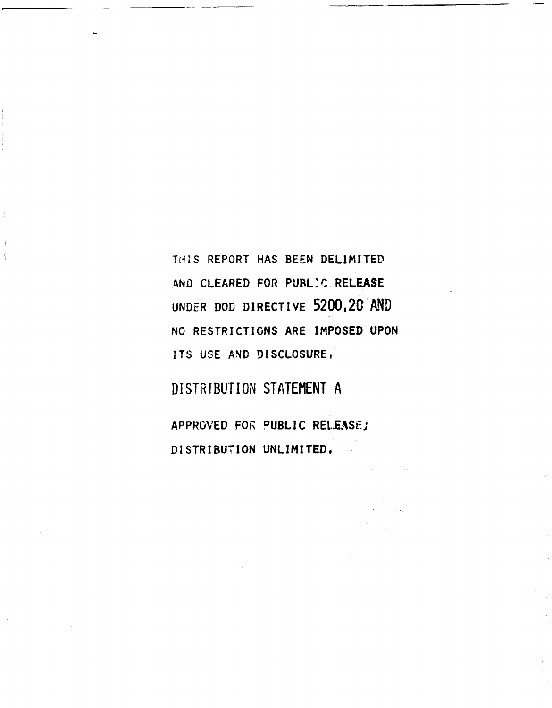**ThIS** REPORT **HAS BEEN** DELIMITED AND CLEARED FOR **PUBL.C RELEASE UNDER DOD** DIRECTIVE **5200.20 AND NO** RESTRICTIONS ARE **IMPOSED UPON ITS USE AND DISCLOSURE,**

DISTRIBUTION **STATEMENT A**

APPROVED FOR PUBLIC **RELEASFj** DISTRIBUTION UNLIMITED,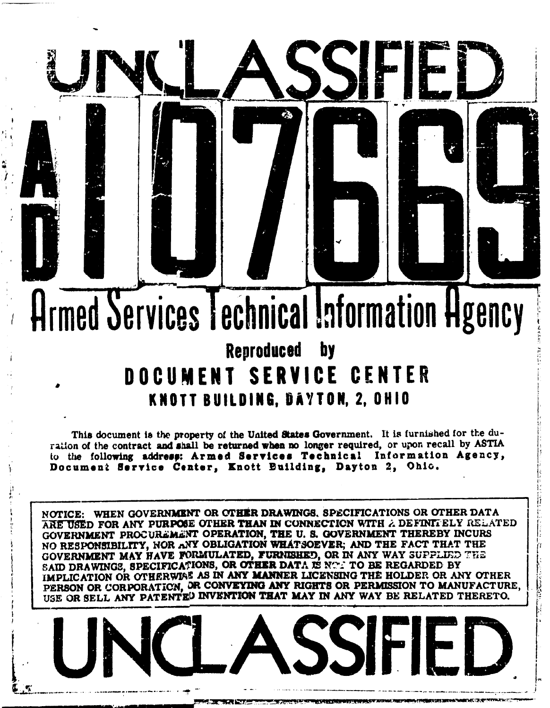# Armed Services Technical Information Hgency **Reproduced** by DOCUMENT SERVICE CENTER KNOTT BUILDING, DAYTON, 2, OHIO

This document is the property of the United States Government. It is furnished for the duration of the contract and shall be returned when no longer required, or upon recall by ASTIA to the following address: Armed Services Technical Information Agency, Document Service Center, Knott Building, Dayton 2, Ohic.

NOTICE: WHEN GOVERNMENT OR OTHER DRAWINGS, SPECIFICATIONS OR OTHER DATA ARE USED FOR ANY PURPOSE OTHER THAN IN CONNECTION WITH A DEFINITELY RELATED GOVERNMENT PROCUREMENT OPERATION, THE U. S. GOVERNMENT THEREBY INCURS NO RESPONSIBILITY, NOR ANY OBLIGATION WHATSOEVER; AND THE FACT THAT THE GOVERNMENT MAY HAVE FORMULATED, FURNISHED, OR IN ANY WAY SUPPLIED THE SAID DRAWINGS, SPECIFICATIONS, OR OTHER DATA IS NOT TO BE REGARDED BY IMPLICATION OR OTHERWISE AS IN ANY MANNER LICENSING THE HOLDER OR ANY OTHER PERSON OR CORPORATION, OR CONVEYING ANY RIGHTS OR PERMISSION TO MANUFACTURE, USE OR SELL ANY PATENTED INVENTION THAT MAY IN ANY WAY BE RELATED THERETO.

SSF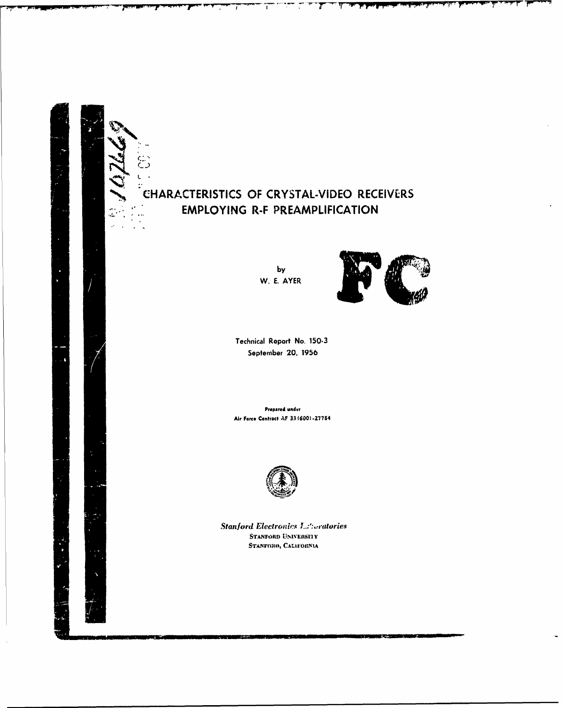

by W. E. AYER



τ

Technical Report No. 150-3 September 20, 1956

Prepared under Air Force Contract AF 33 (600)-27784



**Stanford Electronics L.:** cratories STANFORD UNIVERSITY STANFORO, CALIFORNIA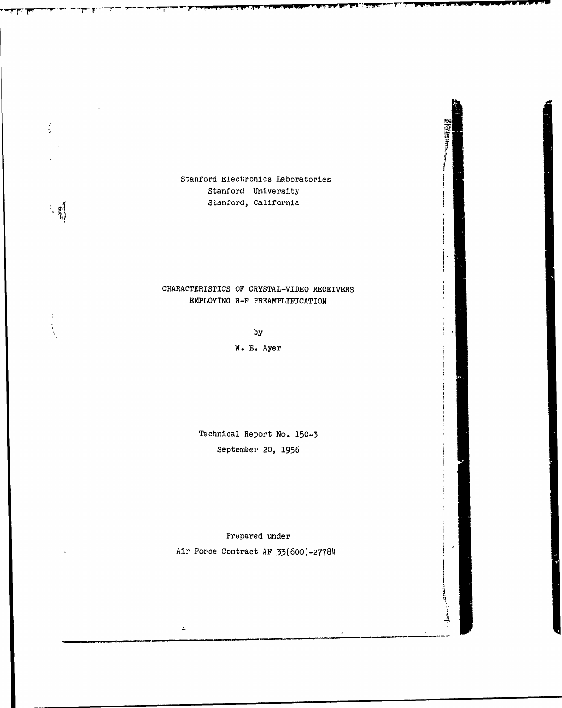Stanford Electronics Laboratories Stanford University Stanford, California

 $\frac{1}{2}$ 

 $\frac{1}{2} \cdot \frac{1}{2} \left[ \frac{1}{2} \right]$ 

P--- - T-~ T---~ ~h IY ~ ~ - <sup>F</sup>**F-pw w'-WW- I WWWW wV ww-**

## CHARACTERISTICS OF CRYSTAL-VIDEO RECEIVERS EMPLOYING R-F PREAMPLIFICATION

**1\***

14000

**by**

W. **E.** Ayer

Technical Report No. **150-3** September 20, 1956

Prepared under Air For-ce Contract **AF 33(600)-27784**

 $\Delta$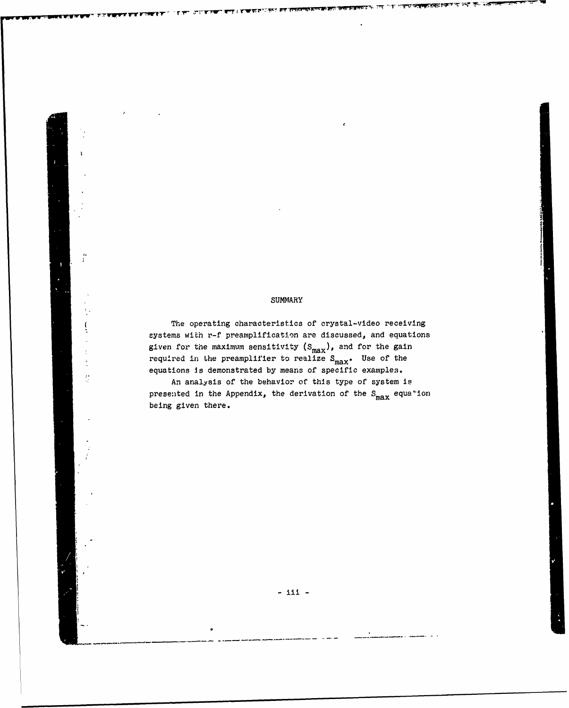## SUMMARY

*I* I

The operating characteristics of crystal-video receiving systems with r-f preamplification are discussed, and equations given for the maximum sensitivity  $(s_{max})$ , and for the gain required in the preamplifier to realize  $S_{\text{max}}$ . Use of the equations is demonstrated by means of specific examples.

An analysis of the behavior of this type of system is presented in the Appendix, the derivation of the  $S_{max}$  equa<sup>+</sup>ion being given there.

 $\frac{3}{2}$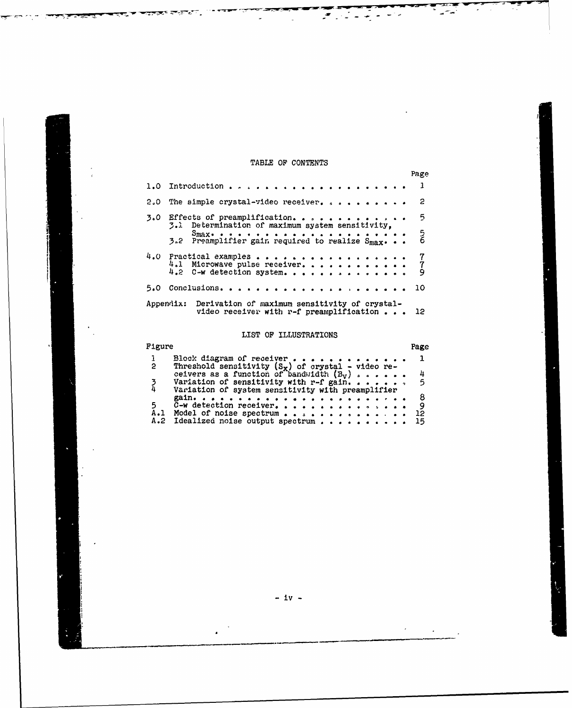## TABLE OF CONTENTS

 $\overline{a}$ 

ਵਰਬ ਧਾ∺ਤ

 $\mathcal{F}(\mathcal{F})$ 

 $\sim$   $\sim$ 

|                                                                                                              | Page          |
|--------------------------------------------------------------------------------------------------------------|---------------|
|                                                                                                              |               |
| 2.0 The simple crystal-video receiver.                                                                       | 2             |
| $5.0$ Effects of preamplification<br>3.1 Determination of maximum system sensitivity,                        | -5            |
| 3.2 Preamplifier gain required to realize Smax.                                                              | $\frac{5}{6}$ |
| 4.0 Practical examples<br>4.1 Microwave pulse receiver.<br>$4.2$ C-w detection system.                       | $\frac{7}{9}$ |
|                                                                                                              | 10            |
| Appendix: Derivation of maximum sensitivity of crystal-<br>video receiver with r-f preamplification $\ldots$ | 12            |

## LIST OF ILLUSTRATIONS

| Figure |                                                      | Page    |
|--------|------------------------------------------------------|---------|
|        | Block diagram of receiver $\cdots$                   |         |
| 2      | Threshold sensitivity $(S_x)$ of crystal - video re- |         |
|        | ceivers as a function of bandwidth $(B_v)$           | 4       |
|        | Variation of sensitivity with r-f gain. 5            |         |
|        | Variation of system sensitivity with preamplifier    |         |
|        |                                                      | -8      |
| 5      | $\bar{C}-W$ detection receiver.                      | - 9     |
|        | A.1 Model of noise spectrum                          | $12 \,$ |
|        | A.2 Idealized noise output spectrum                  | 15      |

**-** iv **-**

 $\epsilon$ 

 $\ddot{\phantom{a}}$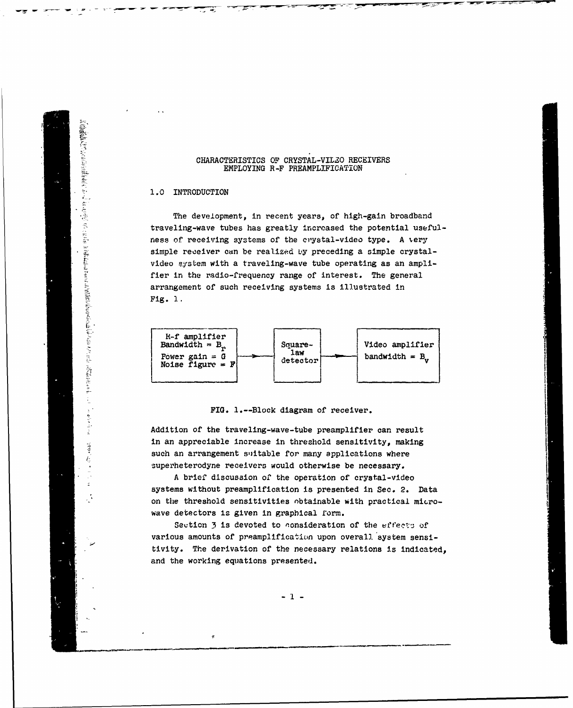#### CHARACTERISTICS OF CRYSTAL-VILZO RECEIVERS EMPLOYING R-F PREAMPLIFICATION

## **1.0** INTRODUCTION

に気管臓経管の行ったくを引きる(熱を差(す)なくらいたことではは、ささいたとめると言葉を打ちないことにつきた気管になるときなりは、気管臓経管の行っていた。

(こうしょうしょう) こうしゅう こうけんきゅうせん スープー

 $\frac{1}{2}$ 

 $\label{eq:1.1} \begin{array}{ll} \mathbf{b} & \mathbf{c} & \mathbf{c} \\ \mathbf{c} & \mathbf{c} & \mathbf{c} \\ \mathbf{c} & \mathbf{c} & \mathbf{c} \end{array}$ 

 $-2.5$ 

The development, in recent years, of high-gain broadband traveling-wave tubes has greatly increased the potential usefulness of receiving systems of the crystal-video type. A *.ery* simple receiver can be realized **by** preceding a simple crystalvideo system with a traveling-wave tube operating as an amplifier in the radio-frequency range of interest. The general arrangement of such receiving systems is illustrated in Fig. **1.**



FIG. l.--Block diagram of receiver.

Addition of the traveling-wave-tube preamplifier can result in an appreciable increase in threshold sensitivity, making such an arrangement suitable for many applications where superheterodyne receivers would otherwise be necessary.

A brief discussion of the operation of crystal-video systems without preamplification is presented in Sec. 2. Data on the threshold sensitivities nbtainable with practical micro- **i** wave detectors is given in graphical form.

Seution 3 is devoted to consideration of the effects of various amounts of preamplification upon overall system sensitivity. The derivation of the necessary relations is indicated, and the working equations presented.

 $-1 -$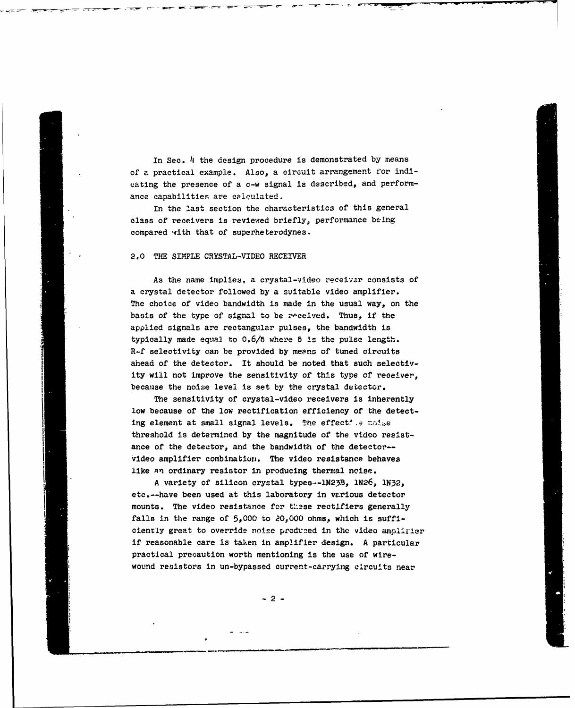In Sec. 4 the design procedure is demonstrated by means of a practical example. Also, a circuit arrangement for indicating the presence of a c-w signal is described, and performance capabilities are calculated.

**I** - **5** w-

In the last section the characteristics of this general class of receivers **is** reviewed briefly, performance being compared with that of superheterodynes.

#### 2.0 THE SIMPLE CRYSTAL-VIDEO RECEIVER

As the name implies, a crystal-video receivar consists of a crystal detector followed by a suitable video amplifier. The choice of video bandwidth is made in the usual way, on the basis of the type of signal to be received. Thus, if the applied signals are rectangular pulses, the bandwidth is typically made equa2 to 0.6/6 where **6** is the pulse length. R-f selectivity can be provided by means of tuned circuits ahead of the detector. It should be noted that such selectivity will not improve the sensitivity of this type of receiver. because the noise level is set by the crystal detector.

The sensitivity of crystal-video receivers is inherently low because of the low rectification efficiency of the detecting element at small signal levels. The effective woive threshold is determined by the magnitude of the video resistance of the detector, and the bandwidth of the detector-- Video amplifier combination. The video resistance behaves like an ordinary resistor in producing thermal noise.

A variety of silicon crystal types.--iN23B, lN26, IN32, etc.--have been used at this laboratory in various detector mounts. The video resistance for these rectifiers generally falls in the range of 5,000 to 20,000 ohms, which is sufficiently great to override noise produced in the video amplirier if reasonable care is taken in amplifier design. A particular practical precaution worth mentioning is the use of wirewound resistors in un-bypassed current-carrying circuits near

-2-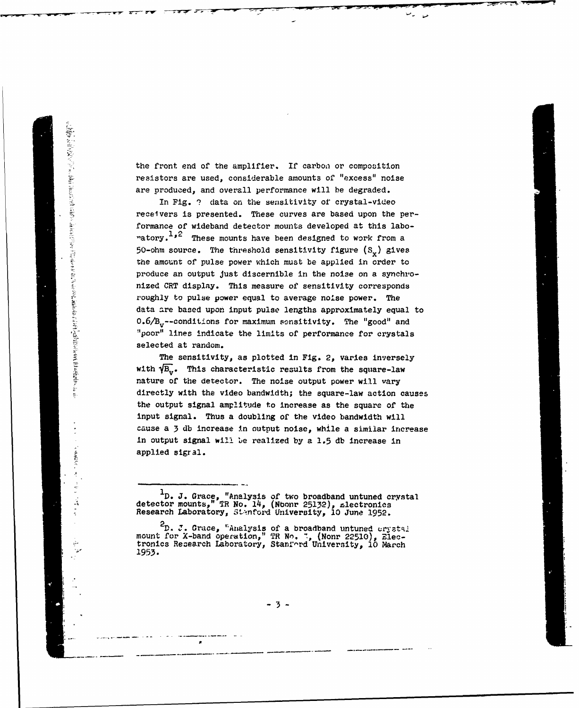the front end of the amplifier. If carbon or composition resistors are used, considerable amounts of "excess" noise are produced, and overall performance will be degraded.

In Fig. **'?** data on the sensitivity of crystal-video For the front end of the amplifier. If carbon or composition<br>resistors are used, considerable amounts of "excess" noise<br>are produced, and overall performance will be degraded.<br>The Pig. ? data on the sensitivity of crystal formance of wideband detector mounts developed at this labo-  $\texttt{ratory.}$   $\texttt{1.2}$  These mounts have been designed to work from a 50-ohm source. The threshold sensitivity figure  $(S_{\nu})$  gives the amount of pulse power which must be applied in order to produce an output Just discernible in the noise on a synchronized **CRT** display. This measure of sensitivity corresponds roughly to pulse power equal to average noise power. The data **are** based upon input pulse lengths approximately equal to 0.6/B<sub>y</sub>--conditions for maximum sensitivity. The "good" and !poor" lines indicate the limits of performance for crystals selected at random.

The sensitivity, as plotted in Fig. 2, varies inversely with  $\sqrt{\beta_{\rm tr}}$ . This characteristic results from the square-law nature of the detector. The noise output power will vary directly with the video bandwidth; the square-law action causes the output signal amplitude to increase as the square of the input signal. Thus a doubling of the video bandwidth will cause a 3 db increase In output noise, while a similar increase in output signal will Le realized by a 1.5 **db** increase in applied sigral.

- 3 -

**<sup>1</sup> D.** J. Grace, "Analysis of two broadband untuned crystal detector mounts," TR No. 14, (Nbonr 25132), rlectronics Research Laboratory, 5t\*.nford University, **10** June **1952.**

 $2<sub>D</sub>$ , J. Grace,  $<sup>E</sup>$ aralysis of a broadband untuned untotal</sup> mount for X-band operation," TR No. **7,** (Nonr 22510), Electronics Recearch Laboratory, Stanfo'-rd University, **10** March **1953.**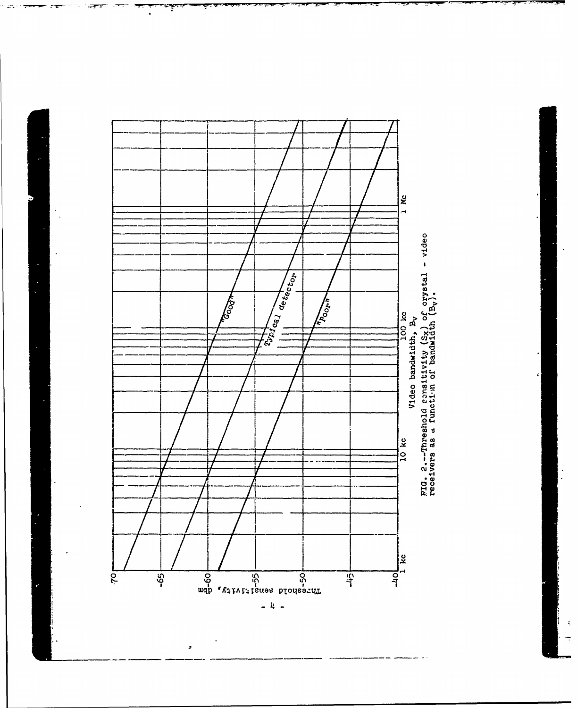

Ŧ

 $\frac{1}{4}$ 

 $\ddot{\phantom{a}}$  $\ddot{ }$ 

,

 $\hat{\mathcal{A}}$ 

 $\overline{\mathbb{R}}$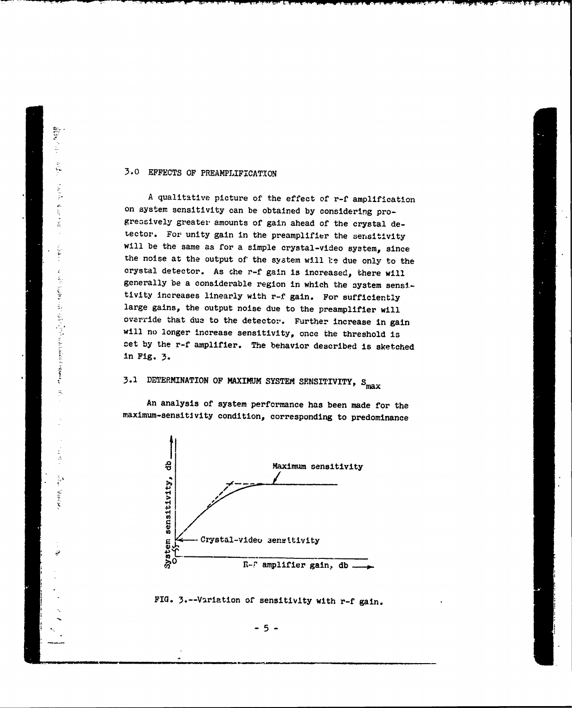## 3.0 EFFECTS **OF** PREAMPLIFICATIoN

動物の スティー あらせん しょうかん

(1) 1) 一个人的一个人,我们的人们的人们,我们的人们的人们,我们的人们的人们的人们的人们的人们的人

 $\frac{1}{2} \mathbf{A}$ 

A qualitative picture of the effect of r-f amplification on system sensitivity can be obtained **by** considering progressively greater amounts of gain ahead of the crystal de-Lector. For unity gain in the preamplifier the sensitivity will be the same as for a simple crystal-video system, since the noise at the output of the system will be due only to the crystal detector. As che r-f gain is increased, there will generally be a considerable region in which the system sensi. tivity increases linearly with r-f gain. For sufficiently large gains, the output noise due to the preamplifier will override that due to the detector. Further increase in gain will no longer increase sensitivity, once the threshold is cet **by** the r-f amplifier. The behavior described is sketched in Fig. 3.

## **3.1** DETERMINATION **OF** MAXIMUM SYSTEM SENSITIVITY, **S**

An analysis of system performance has been made for the maximum-sensitivity condition, corresponding to predominance



FIG. 3.--Variation of sensitivity with r-f gain.

 $-5 -$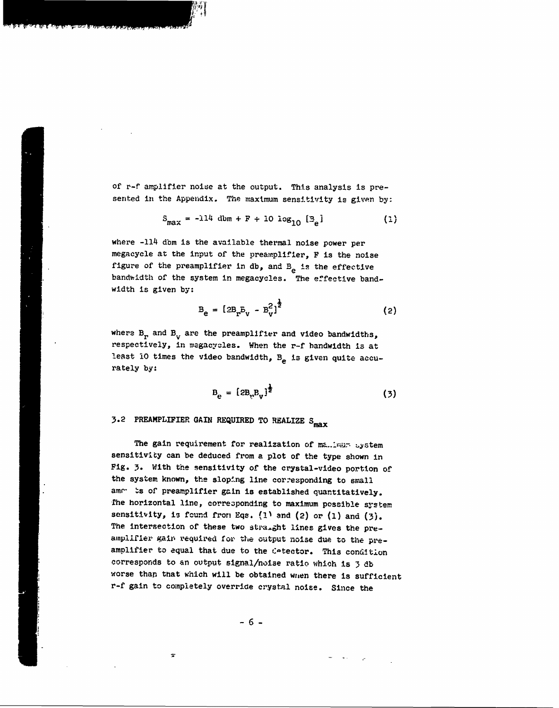of r-f amplifier noise at the output. This analysis is presented in the Appendix. The maximum sensitivity is given by:

 $\left\{ \begin{matrix} \hat{H} \hat{H} \end{matrix} \right\}$ 

$$
S_{\text{max}} = -114 \text{ dbm} + F + 10 \text{ log}_{10} [3] \tag{1}
$$

where -114 dbm is the available thermal noise power per megacycle at the input of the preamplifier, F is the noise figure of the preamplifier in db, and  $B_e$  is the effective bandwidth of the system in megacycles. The effective bandwidth is given **by:**

$$
B_e = [2B_r E_v - B_v^2]^{\frac{1}{2}}
$$
 (2)

where B<sub>r</sub> and B<sub>y</sub> are the preamplifier and video bandwidths, respectively, in magacyales. When the r-f bandwidth is at least 10 times the video bandwidth, B<sub>e</sub> is given quite accurately **by:**

$$
B_{e} = [2B_{v}B_{v}]^{\frac{1}{2}}
$$
 (3)

## **3.2 PREAMPLIFIER GAIN REQUIRED TO REALIZE S<sub>max</sub>**

The gain requirement for realization of ma.imum system sensitivity can be deduced from a plot of the type shown in Fig. 3. With the sensitivity of the crystal-video portion of the system known, the sloping line corresponding to small amm- is of preamplifier gain is established quantitatively. The horizontal line, corresponding to maximum possible system sensitivity, is found from Eqs. (1) and (2) or (1) and (3). The intersection of these two stra.ght lines gives the preamplifier gain required for the output noise due to the preamplifier to equal that due to the Cotector. This condition corresponds to an output signal/noise ratio which is 3 db worse than tnat which will be obtained wrien there is sufficient r-f gain to completely override crystal noise. Since the

**- 6-**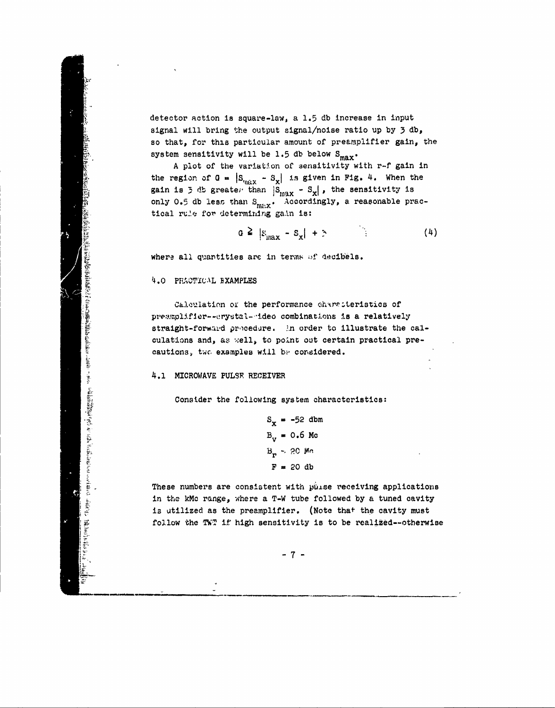detector action is square-law, a **1.5 db** increase in input signal will bring the output signal/noise ratio up by **3 db,** so that, for this particular amount of preamplifier gain, the system sensitivity will be 1.5 db below S<sub>max</sub>.

**A** plot of the variation of **sensitivity** with r-f gain in the region of  $G = |S_{max} - S_x|$  is given in Fig. 4. When the gain is  $\bar{z}$  db greate; than  $|S_{\text{max}} - S_x|$ , the sensitivity is only 0.5 db less than S<sub>max</sub>. Accordingly, a reasonable practical rule for determining gain is:

$$
a \geq |s_{\max} - s_x| + \tilde{z}
$$
 (4)

where all quantities are in terms **of** decibels.

**4.0** PFRAOTICAL **EXAMPLES**

Calculation or the performance characteristics of preamplifier--crystal--ideo combinations is a relatively straight-forward procedure. In order to illustrate the calculations and, as *xell*, to point out certain practical prercal rule for determining galm is:<br>  $\alpha \ge |s_{max} - s_x| + \gamma$ <br>
where all quantities are in terms of decibi<br>
4.0 PRACTICAL EXAMPLES<br>
Calculation of the performence chare:<br>
premaplifior--crystal--ideo combinations is<br>
straight-for

## 4.1 MICROWAVE **PULSE** RECEIVER

Consider the following system characteristics:

 $S_x = -52$  dbm  $B_{\rm tr} = 0.6$  Mc **B3 r -. ?0 M.** r F **=** 20 **db**

These numbers are consistent with pulse receiving applications in the **kMc** range, where a T-W tube followed **by** a tuned cavity is utilized as the preamplifier. (Note that the cavity must follow the TWT if high sensitivity is to be realized--otherwise

 $-7 -$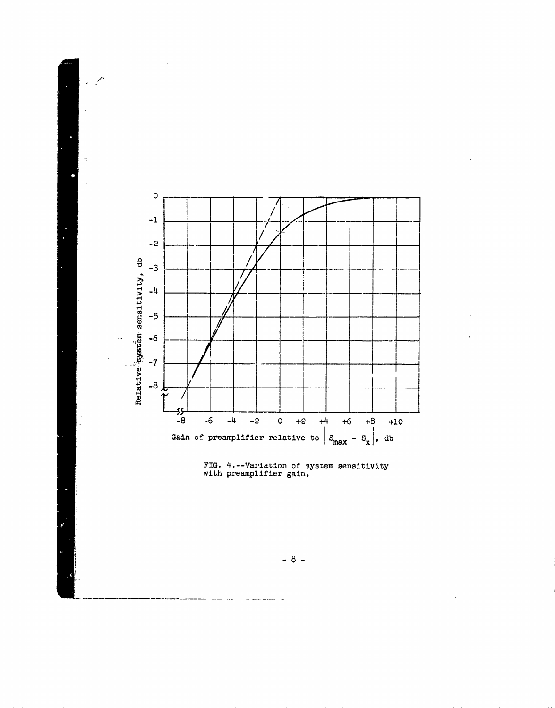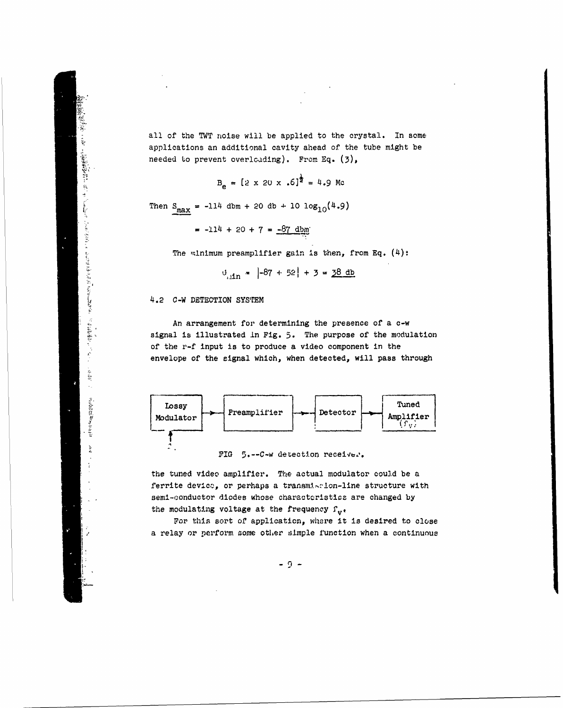all of the TWT noise will be applied to the crystal. In some applications an additional cavity ahead of the tube might be needed to prevent overloading). From **Eq. (3),**

$$
B_e = [2 \times 20 \times .6]^{\frac{1}{2}} = 4.9 \text{ Me}
$$

 $= -114 + 20 + 7 = -87$  dbm

The winimum preamplifier gain is then, from Eq. (4):

 $\theta_{\text{atm}} = |-87 + 52| + 3 = 38 \text{ db}$ 

4.2 C-W DETECTION **SYSTEM**

三三三十五年

**LET THE TWIT HOLSE WILL be applied to the<br>applications an additional cavity ahead of t<br>needed to prevent overloading). From Eq. (3<br>** $B_e = [2 \times 20 \times .6]^{\frac{1}{2}} = 4.9$  **Mc<br>Then**  $S_{\text{max}} = -114$  **dbm + 20 db + 10**  $\log_{10}(4.9)$ **<br>= -114** An arrangement for determining the presence of a c-w signal is illustrated **In** Fig. **5.** The purpose of the modulation of the r-f input is to produce a video component in the envelope of the signal which, when detected, will pass through



FIG 5.--C-w detection receiver.

the tuned video amplifier. **The** actual modulator could be a ferrite device, or perhaps a transmistion-line structure with seml-conductor diodes whose charactoristics are changed **by** the modulating voltage at the frequency  $f_{\mathbf{v}^*}$ 

For this sort of application, where it is desired to close a relay or perform some other simple function when a continuous

 $-9 -$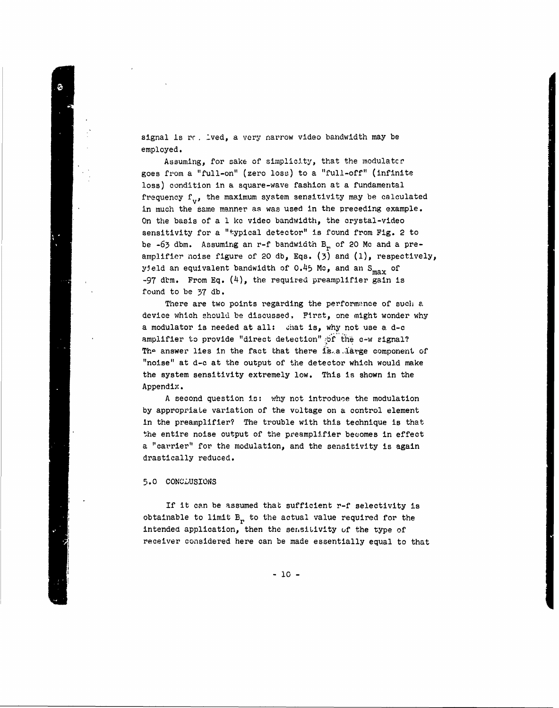signal is re. lved, a very narrow video bandwidth may be employed.

Assuming, for sake of simplicity, that the modulater goes from a "full-on" (zero loss) to a "full-off" (infinite loss) condition in a square-wave fashion at a fundamental frequency  $f_v$ , the maximum system sensitivity may be calculated in much the same manner as was used in the preceding example. On the basis of a 1 kc video bandwidth, the crystal-video sensitivity for a "typical detector" is found from Fig. 2 to be  $-63$  dbm. Assuming an r-f bandwidth B<sub>r</sub> of 20 Mc and a preamplifier noise figure of 20 db, Eqs. (3) and (1), respectively, yield an equivalent bandwidth of 0.45 **Mo,** and an Smax of  $-97$  dbm. From Eq.  $(4)$ , the required preamplifier gain is found to be 37 db.

There are two points regarding the performance of such a device which should be discussed. First, one might wonder why a modulator is needed at all: chat is, why not use a d-c amplifier to provide "direct detection" of the c-w signal? The answer lies in the fact that there is a large component of 1"noise" at d-c at the output of the detector which would make the system sensitivity extremely low. This is shown in the Appendix.

A second question is: why not introduce the modulation by appropriate variation of the voltage on a control element in the preamplifier? The trouble with this technique is that the entire noise output of the preamplifier becomes in effect a "carrier" for the modulation, and the sensitivity is again drastically reduced.

## 5.0 CONCLUSIONS

If it can be assumed that sufficient r-f selectivity is obtainable to limit  $B<sub>r</sub>$  to the actual value required for the intended application, then the sensitivity of the type of receiver considered here can be made essentially equal to that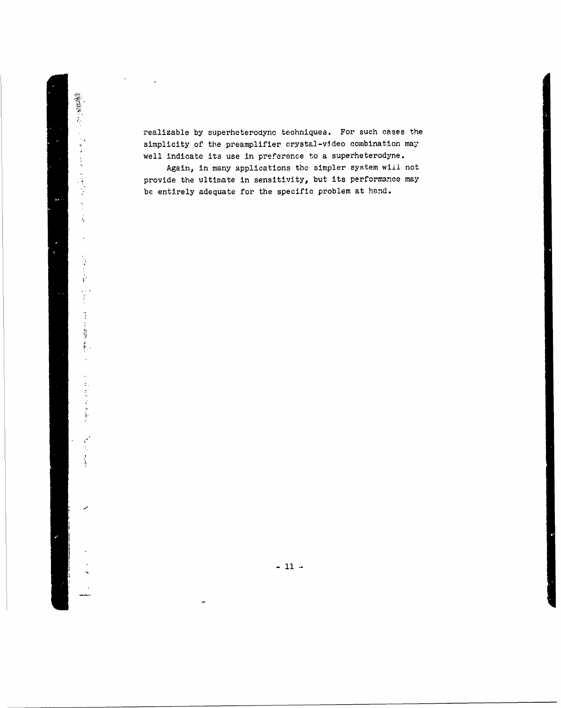realizable **by** superheterodyno techniques. For, such cases the simplicity of the preamplifier crystal-video combination may well indicate its use in preference to a superheterodyne.

の意味をいる!

化二苯二苯二苯二环 医甲状腺炎 化聚合 人名英格兰人姓氏

 $\ddot{\phantom{0}}$ 

「このまで」という。 「Web Starts」 しゃしんかん アール・ファイル こうれんぽう (皮) かんこう

 $\frac{1}{\sqrt{2}}$ 

تمر

Again, in many applications **the** simpler system **wiil** not provide **the** ultimate in sensitivity, but its performance may be entirely adequate for the specific problem at hand.

 $-11 -$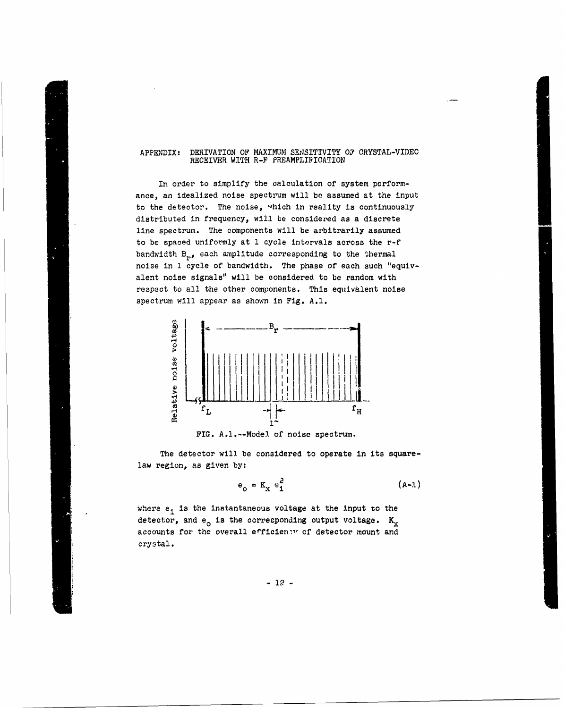## APPENDIX: DERIVATION OF MAXIMUM SENSITIVITY OF CRYSTAL-VIDEO RECEIVER WITH R-F PREAMPLIRICATION

In order to simplify the calculation of system performance, an idealized noise spectrum will be assumed at the input to the detector. The noise, which in reality is continuously distributed in frequency, will be considered as a discrete line spectrum. The components will be arbitrarily assumed to be spaced uniformly at 1 cycle intervals across the r-f bandwidth  $B_{r,s}$  each amplitude corresponding to the thermal noise in 1 cycle of bandwidth. The phase of each such "equivalent noise signals" will be considered to be random with respect to all the other components. This equivalent noise spectrum will appear as shown in Fig. **A.l.**



**FIG.** A.l.--Mode). of noise spectrum.

The detector will be considered to operate in its squarelaw region, as given **by!**

$$
\epsilon_0 = K_x e_1^2 \qquad (A-1)
$$

where e, is the instantaneous voltage at the input to the detector, and  $e_0$  is the corresponding output voltage.  $K_x$ accounts for the overall efficienty of detector mount and accounts for the overall evidents.

 $-12$   $-$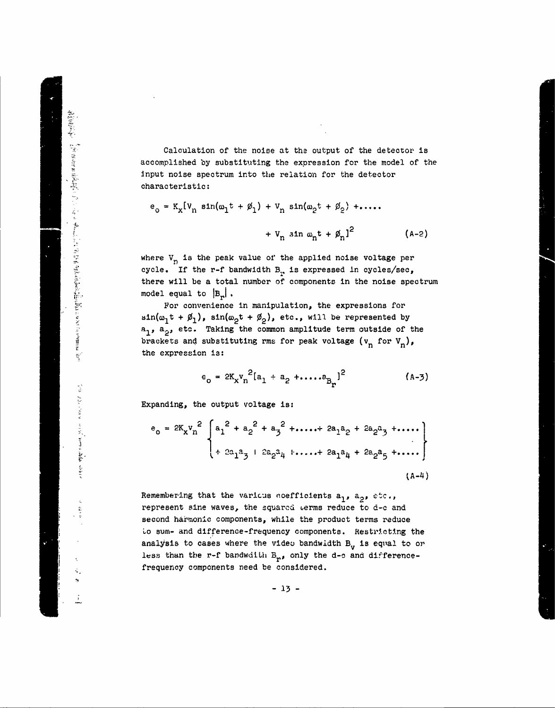Calculation of the noise at the output of the detector is accomplished by substituting the expression for the model of the Input noise spectrum into the relation for the detector characteristic:

$$
e_0 = K_x[V_n \sin(\omega_1 t + \phi_1) + V_n \sin(\omega_2 t + \phi_2) + \dots
$$

$$
+ V_n \sin \omega_n t + \phi_n]^2
$$
 (A-2)

where  $V_{n}$  is the peak value of the applied noise voltage per cycle. If the r-f bandwidth B<sub>1</sub>, is expressed in cycles/sec, there will be a total number of components in the noise spectrum model equal to  $|B_n|$ .

For convenience in manipulation, the expressions for  $\sin(\omega_1 t + \phi_1)$ ,  $\sin(\omega_2 t + \phi_2)$ , etc., will be represented by  $a_1$ ,  $a_2$ , etc. Taking the common amplitude term outside of the brackets and substituting rms for peak voltage  $(v_n$  for  $v_n)$ , the expression is:

$$
e_{o} = 2K_{x}v_{n}^{2}[a_{1} + a_{2} + \dots + a_{B_{r}}]^{2}
$$
 (A-3)

Expanding, the output voltage is:

Septembre 2012年12月12日 12月12日 12月12日 12月12日 12月12日 12月12日 12月12日 12月12日 12月12日 12月12日 12月12日 12月12日 12月12日 12月1<br>Septembre 2013年12月12日 12月12日 12月12日 12月12日 12月12日 12月12日 12月12日 12月12日 12月12日 12月12日 12月12日 12月12日 12月12日 12月

医血管炎 戴斯克 医骨盆的 电反应率 医血管下血热的 医下列

$$
e_0 = 2K_X v_n^2 \left\{ a_1^2 + a_2^2 + a_3^2 + \dots + 2a_1 a_2 + 2a_2 a_3 + \dots \right\} + 2a_1 a_3 + 2a_2 a_4 + \dots + 2a_1 a_4 + 2a_2 a_5 + \dots \right\}
$$
\n(A-4)

Remembering that the various coefficients  $a_1$ ,  $a_2$ , etc., represent sine waves, the squared terms reduce to d-c and second harmonic components, while the product terms reduce Lo sum- and difference-frequency components. Restricting the analysis to cases where the video bandwidth  $B_{\nu}$  is equal to or less than the r-f bandwdith  $B_{r}$ , only the d-c and differencefrequency components need be considered.

**-13 -**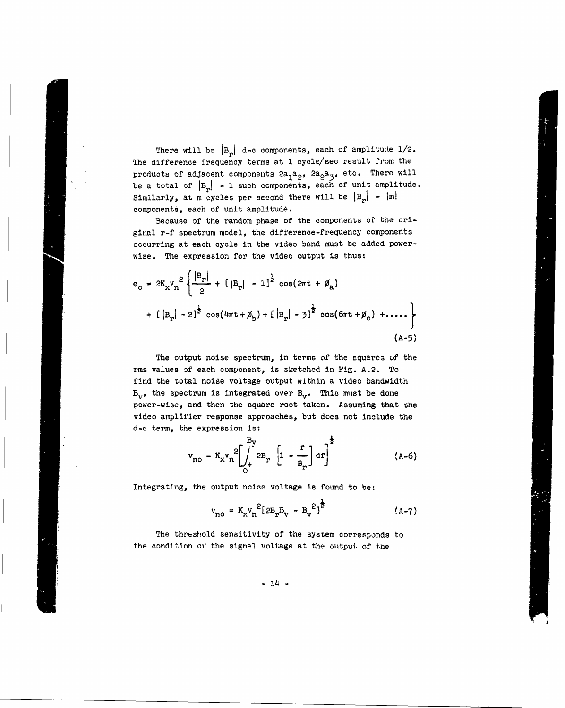There will be  $|B_r|$  d-c components, each of amplitude  $1/2$ . The difference frequency terms at **1** cycle/sec result from the products of adjacent components  $2a_1a_2$ ,  $2a_2a_3$ , etc. There will be a total of  $|B_r|$  - 1 such components, each of unit amplitude. Similarly, at m cycles per second there will be  $|B_r|$  -  $|m|$ components, each of unit amplitude.

Because of the random phase of the components of the original r-f spectrum model, the difference-frequency components occurring at each cycle in the video band must be added powerwise. The expression for the video output is thus:

$$
e_{o} = 2K_{x}v_{n}^{2} \left\{ \frac{|B_{r}|}{2} + [ |B_{r}| - 1]^{2} \cos(2\pi t + \emptyset_{a}) + [ |B_{r}| - 2]^{2} \cos(4\pi t + \emptyset_{b}) + [ |B_{r}| - 3]^{2} \cos(6\pi t + \emptyset_{c}) + .... \right\}
$$
\n(4-5)

The output noise spectrum, in terms of the squares of the rms values of each component, is sketchcd in **Fig.** A.2. To find the total noise voltage output within a video bandwidth  $B_{\nu}$ , the spectrum is integrated over  $B_{\nu}$ . This must be done power-wise, and then the square root taken. Assuming that the video amplifier response approaches, but does not include the d-c term, the expression is:

$$
v_{no} = K_{x}v_{n}^{2} \left[ \int_{0}^{B_{y}} 2B_{r} \left[ 1 - \frac{r}{B_{r}} \right] d r \right]^{\frac{1}{2}}
$$
 (A-6)

Integrating, the output noise voltage is found to be:

$$
v_{no} = K_x v_n^2 [2B_x B_y - B_y^2]^{\frac{1}{2}}
$$
 (A-7)

The threshold sensitivity of the system corresponds to the condition oi the signal voltage at the output of the

**-** *14* **-**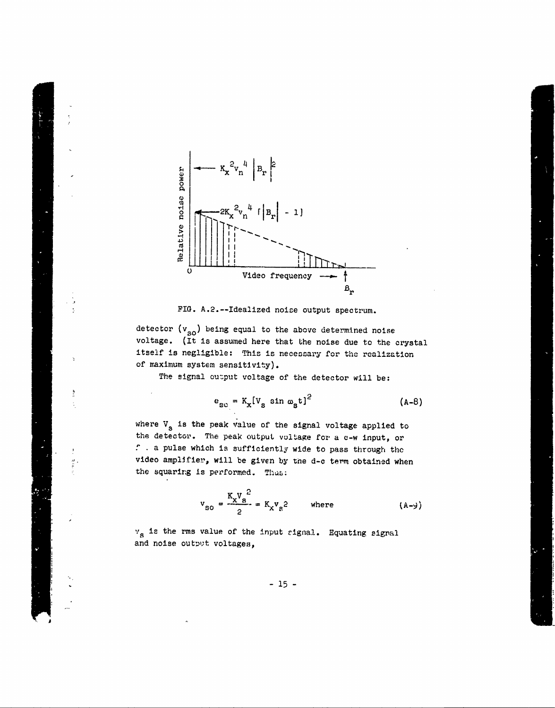



detector  $(v_{so})$  being equal to the above determined noise voltage. (It is assumed here that the noise due to the crystal itself is negligible: This is necessary for the realization of maximum system sensitivity).

The signal output voltage of the detector will be:

$$
e_{\text{SO}} = K_{\text{x}}[V_{\text{s}} \sin \omega_{\text{s}} t]^2 \qquad (A-8)
$$

where  $V_s$  is the peak value of the signal voltage applied to the detector. The peak output voltage for a c-w input, or **f .** a pulse which is sufficientlv wide to pass through thc video ampifier, will be given by tne **d-c** term obtained when the squaring is performed. Thus:

$$
v_{so} = \frac{K_x V_s^2}{2} = K_x v_s^2
$$
 where (A-y)

 $v_s$  is the rms value of the input rignal. Equating signal and noise output voltages,

**-15**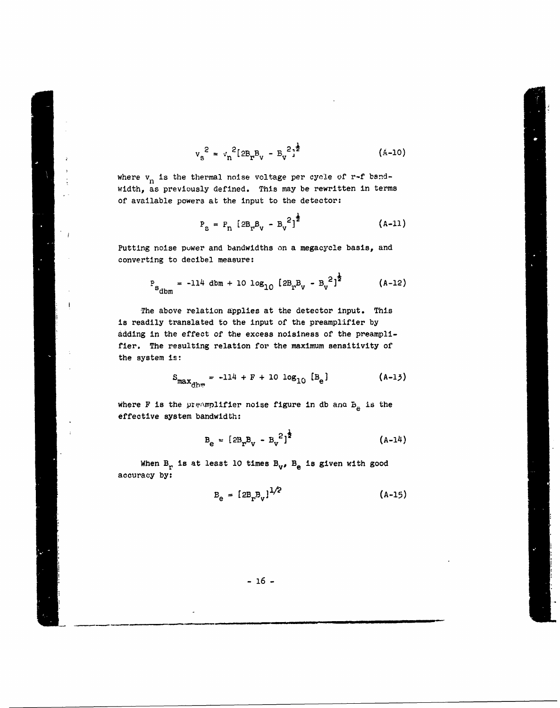$$
v_{s}^{2} = v_{n}^{2} [2B_{r}B_{v} - B_{v}^{2}]^{\frac{1}{2}}
$$
 (A-10)

where  $v_{n}$  is the thermal noise voltage per cycle of r-f bandwidth, as previously defined. This may be rewritten in terms of available powers at the input to the detector:

$$
P_{s} = P_{n} [2B_{r}B_{v} - B_{v}^{2}]^{\frac{1}{2}}
$$
 (A-11)

Putting noise puwer and bandwidths on a megacycle basis, and converting to decibel measure:

$$
P_{s_{\text{dbm}}} = -114 \text{ dbm} + 10 \text{ log}_{10} [2B_p B_v - B_v^2]^2
$$
 (A-12)

The above relation applies at the detector input. This is readily translated to the input of the preamplifier by adding in the effect of the excess noisiness of the preamplifier. The resulting relation for the maximum sensitivity of the system is:

 $\blacksquare$ 

$$
S_{\max_{\text{dbm}}} = -114 + F + 10 \log_{10} [B_e]
$$
 (A-13)

where F is the preamplifier noise figure in db and  $B_{\rm g}$  is the effective system bandwidth:

$$
B_e = [2B_r B_v - B_v^2]^{\frac{1}{2}}
$$
 (A-14)

When  $B_r$  is at least 10 times  $B_{\nu}$ ,  $B_e$  is given with good accuracy by:

$$
B_e = [2B_r B_v]^{1/2}
$$
 (A-15)

**- 16 -**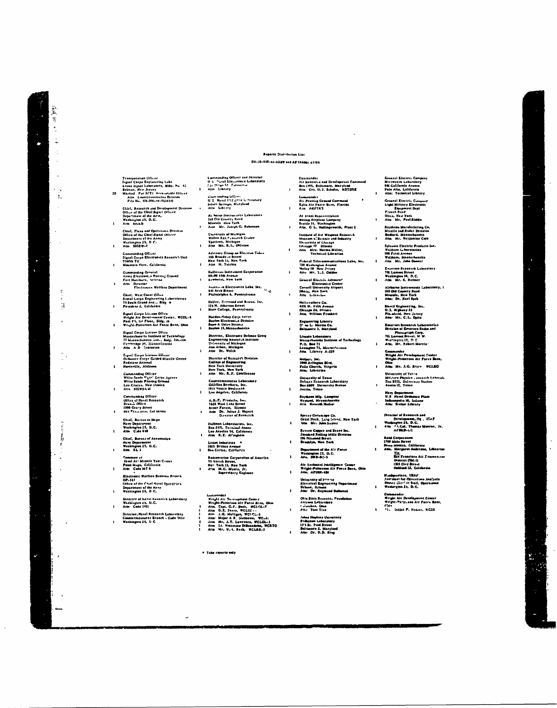## Reports Distribution List

#### DA+18-039-ac-h3189 and AP11cheor 27704

- Commander Commander<br>Air (vooratin aad Development Command<br>Ben (195, Baltimore, Morylsad<br>Alla -Cel, O.J, Schulle, -KDTDRK
- Cominander<br>Als Proving Ground Command<br>Eglin Alr Porce Bazo, Fiorida<br>Alsa Adj/TR3
- Ar Fisal Representative<br>Boeing Airplane Lampony<br>Seotilo I4, Washington<br>Alia, G. L. Hallingeworth, Plant 2
- Francisco de Alexander (Alexander Matematica)<br>Matematic Science and Bobustry<br>University of Chicago<br>Chicago 17 Illinoide<br>Chicago 17 Illinoide<br>Atta Mre, Norma Millor,<br>- Technical Librarian
- $\mathbf{r}$
- Federal Telerommunications Labo, Inc.<br>100 Washington Avenue<br>Nutley 10 New J-tsay<br>Alty: Mr., 1, J. Goldon
- General Electric Advancer Electronics Center<br>Cornell University Airport<br>Ithaca, Maw York<br>Alta Lubissian
- Hollicraftern Co.<br>4431 W. Fifth Avenus<br>Chicago 24, Mitanis<br>Attn. William Frankert
	-
- :<br>Englacering Library<br>3' na L. Martin Co.<br>Baltimore 3, Maryle
- Lincoln Laboratory<br>Mésagchusotta Institute of Toche Minus<br>P.D. Box 73<br>Lexiagion 73, Maasechroots<br>Atta - Library A-227<br>Atta - Library A-227  $\bullet$
- Melpar, Inc.<br>1000 Arlington Bivd.<br>Falls Church, Virgiria<br>Atta: Librarian
- $\ddot{\phantom{a}}$ University of Toune<br>Driense Renearch Laboratary<br>Boa 8829 - University Stotton<br>Austin, Tonae
- $\mathbf{I}$ Raytheon Mfg. Campany<br>Waytand, Measachueolti<br>Attn - Konatth Hudor
- 
- Sperry Gyrossape Co.<br>Great Nech, Long Jolanc, New York<br>Alin Mr. John Luoler
- Revero Coppor and Brass Ios.<br>Standard Rolling Millo Division<br>195 Fiz.nond Strost<br>Brooklyn, New York
- Department of the Air Force<br>Washington 25, D.C.<br>Attn. DRD-SC-5  $\mathbf{r}$
- Air Technical Intelligence *Conter*<br>Wright-Patterson Air Force Baro, Ohio<br>Ain: AFOIN-6BI  $\mathbf{r}$
- University of J<sup>111</sup>0-10<br>Electrical Engineering Dopartment<br>Urbann, It.lauta<br>Alta- Dv. Raymand Dullamat
- $\mathbf{r}$
- Chis State Researc.. Psu<br>Antenno Labsenbery<br>- Liumbee, Cheo<br>Atta: "Tom Tice Juhna Hophiae University<br>Rudiation Laboratory<br>13532, Paul Street<br>Baltimore 2, Maryland<br>Atta- Dr. D.D. King

 $\mathbf{r}$ 

General Electric Compost<br>Light Military Electronic<br>Equipment Dapt<br>Franch Read<br>Mitos, New York<br>Alta Mr. Paul Riddie  $\mathbf{r}$ 

 $\ddot{\phantom{a}}$ 

 $\mathbf{r}$ 

 $\mathbf{r}$ 

 $\mathbf{r}$ 

 $\overline{ }$ 

 $\bullet$ 

Raysheon Macufacturing Co.<br>Missile and Radar Division<br>Rodlord, Massachusotte<br>Atta - Mr., Renjamino Cole

General Electris Company<br>Microvave Laboratory<br>681 Galifernia Avenue<br>Palo Alto, Califernia<br>Atin: Technical Library

- Sylvania Electric Producto Inc.<br>Waltham Laboratorica<br>108 Ferst Avenue<br>Waltham, Macéachuaette<br>Alta Mr. John Dener  $\overline{\phantom{a}}$ 
	- Enierson Research Laboratory<br>701 Jament Street<br>Washington 10, D.C.<br>Atln Mr. S. Rattner

 $\ddot{\phantom{a}}$ 

- Airberne Instruments Laboratory, 1<br>1ê0 Old Country Read<br>Mineols, New York<br>ANn: Dr. Karl Spok
- Stavid Kaginoering, Inc.<br>U.S. Mighway 22<br>Pla.nisoid, Now Zirsay<br>Ama: Mr. C.L. Opits  $\mathbf{r}$ 
	- Emerson Rosearch Laboratories<br>Division of Emerson Radio and<br>Phangtaph Corp.<br>16 Lamons Streat, N. W.<br>Wertington 19, D. C.<br>Alta. Mr. Rabert Morria-
- Commonier<br>Wright Air Povolopment Center<br>Wright-Poblezoon Air Force Baoo,
- Ohio<br>Alm: Mr. J.G. Risco WCLRO
- University of Texas<br>Mil.tery Physico , anasech Laborate<br>Saa 3016, University Staliun<br>Avoiin I2, Texas
- Navy Dopartment<br>U.S. Stavel Ordnance |<br>Indianapolis 18, Imimh<br>Attu: Statior Library ice Plan

## Divector of Retearch and<br>Divelopment, Hq., USAP<br>Washington 25, D.C.<br>Arm + 1. Col., Thomas Monroe, Jr.<br>ArMD-CC  $\mathbf{r}$

- Raul Corporation<br>1769 Maia Street<br>Sena Montac, California<br>Alin, Margarot Anderton, Librarian<br>1867 Trancisco Ati Fracere.<br>1861 Corp Street<br>1862 Cley Street<br>Ooblood 12, California<br>Ooblood 12, California
- Hoodquartere, USAY<br>Asetstant for Operations Analysis<br>Dopuiy (21-1 of Stall, Operations<br>Washington 25, D.C.

## Commander<br>Wright Air Duvoloyment Centor<br>Wright+Pariz,oon Air Forra Base, Wright Air Bussing<br>Wright-Watterson Air Forra Bai<br>Cals<br>"12 - Stajar Pr Nasier, WCSN

 $\mathbf{r}$ 

Transporation (Efficer)<br>Signat Corps Englacerting Labo<br>Lyons Signat Laboratory, 1916p. bu. 42<br>Belmar, New Jersey<br>Marked: Two Signatures are policed<br>Attn: Countgeneratores (Division<br>Pile No. 416-191-24-34(1834)

 $\ddot{\phantom{a}}$ 

 $\mathbf{r}$ 

 $\mathbf{r}$ 

 $\frac{\alpha}{L}$ Ę  $\ddot{\phantom{1}}$  $\frac{1}{2}$ 

 $\frac{1}{2}$ 

 $\mathbf{r}$ 

 $\tau$ 

 $\mathbf{\ddot{H}}$ 

him, h

Ĵ.

V

 $\mathcal{Z}_{\mathcal{A}}$ 

 $\overline{\phantom{a}}$ 

- Chief, Research and Development D<br>Office of the Chief Signal Officer<br>Department of the Arm,<br>Washington 25, D.C.<br>Aita Siou.B
- 
- Chief, Plans and Operations Devision<br>Office of the Chief Signat (Vilcore<br>Department of the Army<br>Walhington 25, D.C.<br>Altn. SIGEW+2
- Commanding Officer<br>Signal Curps Electronico Researc's Unit<br>95601h TU<br>Mountain View, Galifornia
- 
- Commanding General<br>Army Electronics Proving Graund<br>Fort Hurchuca, Artenna<br>Atm Director<br>- Flectronics Warfare Department
- Chief, West Coast Oifice<br>Sinnal Corpo Engineering Laboralorico<br>75 South Grand Ave., Bidg. 6<br>Pasadena 2, Colifornia  $\mathbf{r}$
- Signal Carps Lissien Office<br>Wright Air Develooment Cester, WCOL-9<br>Post F5, Isr Floor, Bidg, 16<br>Wright-Patterson Air Force Base, Ohio
- $\mathbf{r}$ Signal Corpo Lusison Office<br>Massachusetts Institute of Technology<br>17 Massachusetts Ave., Bidg. 200.:110<br>Czmbeldge 37, Massachusetts<br>Atta - A-D - Tedrosian
- 
- Signal Guipe Illaloum Ulliver<br>Ordanner Corpr Guided Missile Center<br>Redstone Aroenal<br>Huntaville, Alabama  $\ddot{\phantom{a}}$ 
	- Commanding Officer<br>White Sande Sigas' Corps Agency<br>White Sande Proving Ground<br>Las Crucco, New Menico<br>Alta SIGWS4 M
- $\mathbf{r}$ Commending Officer<br>Office of Naval Research<br>Branch Office
- pranco Grira<br>19<mark>00 Ceary Sireet</mark><br>São Trionistus Cal Iornia  $\mathbf{r}$
- Chief, Buzrau us Ships<br>Navy Depátiment<br>Washington 25, D.C.<br>Attn Code 410  $\mathbf{I}$
- Chief, Bureas of Aeronautico<br>Navy Deparment<br>Washington 25, D.C.<br>Atta -EL 3  $\mathbf{I}$
- Comman et<br>- favel Ai+ Missile Test C-ntet<br>Point Mugu, Califernia<br>Aitn Code Mf 4  $\mathbf{t}$
- **Electronic Warfare Svelome Breach**<br>OP-347<br>Department of the Chief Neval Operations<br>Department of the Nevy<br>Washington 25, D G.
- $\bar{\mathbf{r}}$
- Dizector of haval keseorik Laberalary<br>Washington ap, D.C.<br>Attn: 'Code 2021  $\cdot$
- Director, Naval Recearch Laboratóry<br>Countermeasurez Branch Cade 5433<br>Washington 25, D. C.
- Commanding Officer and Director<br>U.S. Havat Eleccronico Laboratory<br>Lac Dingu S2: Caliturna<br>Alto Library Como sanding Offices<br>
U.S. Naval Urd Zeve Liboratory<br>Silver Springe, Maryland<br>Alin – Liborey
- At Serne Instrumento Laboratory<br>160 Old County Road<br>Mineola New York<br>Aita Mr. Juarph G. Rubeacon
- - University of Michigan<br>Willow Run Pusaafch Center<br>Ypollanii, Michigan<br>Atta Mr. R.J., Ohloson  $\mathbf{r}$
	- Advisory Group un Kleitrun Tulus<br>146 Braads vy Street<br>New York 13, New York<br>Atto H. Tuichin  $\mathbf{A}$
	- Kallèrnen Instrument Corporation<br>80-06 45th Avenue<br>Exmhural, New York
- Aniera su Electronico Laba, Inc.<br>641 Arch Stevet<br>Philodelphia 6, Pennoylvania  $\mathbf{r}$
- Haller, Rownand and Brawn, Inc.<br>124 N. Atherion Street<br>State College, Penneylvanta
- Norden-Koloy Carp- entige<br>Boston Klectroni, e Divisium<br>Snow A Unius Streese<br>Mooton 35, Massachuertte  $\mathbf{r}$
- Director, Electronic Defense Group<br>Engineering Neosart-h Institute<br>University of Michigan<br>Ann Arber, Michigan<br>Atte Dr. Welch
- $\mathbf{r}$
- Director of Research Division<br>College of Engineering<br>New York University<br>New York, New York<br>Attn Mr. R.F. Cotellesses  $\mathbf{r}$
- Countermeasures Laboratory<br>Gillillan Brethers, Inc.<br>1915 Venico Boulsvard<br>Los Angeles, Galifornia
- 
- A. R. F. Producta, Inc.<br>1626 West Lake Streat<br>Rive? Perest, Illinois<br>Attn Dr. Julius J. Hupert<br>Director of Resourch
- Huffman Laberateries, Inc.<br>Bax 2171, Termingl Annen<br>Loo Aspeles 34, California<br>Aitn R.E. Al'ingiam
- Listen Industries +<br>1025: Brittan Avenue<br>San Carles, California  $\mathbf{A}$
- Radiomeriae Corporation of America<br>15 Varick Stroet.<br>Ne= Tork IJ, New York<br>Atta M.C. Myers, Jr.<br>Supervisory Ragiaeor
- $\mathbf{r}$

- 
- 

. Tabe reports only

 $\rightarrow$ 

Luninander<br>Wright Air Geomogenesi Cestrz<br>Wright-Patterson Air Force Aire, Ohio<br>Atta. Cept. G.F. Book, WCLCI - .<br>Atta. G.F. Share, WCLCI - .<br>Atta - Mightgan, WCLCI - .<br>Atta - Mightgan, WCLCI - .<br>Atta - Mightgan, WCLCI - .<br>A

- 
-